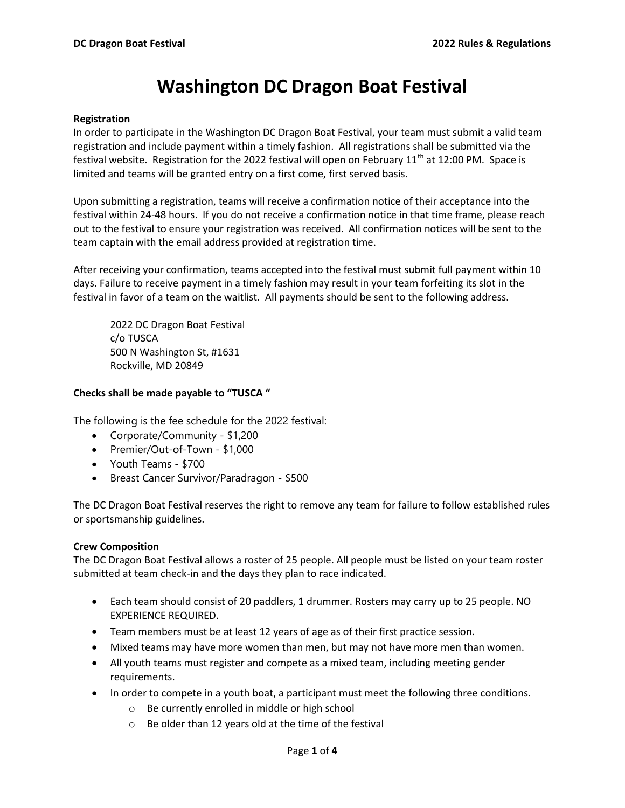# Washington DC Dragon Boat Festival

#### Registration

In order to participate in the Washington DC Dragon Boat Festival, your team must submit a valid team registration and include payment within a timely fashion. All registrations shall be submitted via the festival website. Registration for the 2022 festival will open on February 11<sup>th</sup> at 12:00 PM. Space is limited and teams will be granted entry on a first come, first served basis.

Upon submitting a registration, teams will receive a confirmation notice of their acceptance into the festival within 24-48 hours. If you do not receive a confirmation notice in that time frame, please reach out to the festival to ensure your registration was received. All confirmation notices will be sent to the team captain with the email address provided at registration time.

After receiving your confirmation, teams accepted into the festival must submit full payment within 10 days. Failure to receive payment in a timely fashion may result in your team forfeiting its slot in the festival in favor of a team on the waitlist. All payments should be sent to the following address.

2022 DC Dragon Boat Festival c/o TUSCA 500 N Washington St, #1631 Rockville, MD 20849

## Checks shall be made payable to "TUSCA "

The following is the fee schedule for the 2022 festival:

- Corporate/Community \$1,200
- Premier/Out-of-Town \$1,000
- Youth Teams \$700
- Breast Cancer Survivor/Paradragon \$500

The DC Dragon Boat Festival reserves the right to remove any team for failure to follow established rules or sportsmanship guidelines.

## Crew Composition

The DC Dragon Boat Festival allows a roster of 25 people. All people must be listed on your team roster submitted at team check-in and the days they plan to race indicated.

- Each team should consist of 20 paddlers, 1 drummer. Rosters may carry up to 25 people. NO EXPERIENCE REQUIRED.
- Team members must be at least 12 years of age as of their first practice session.
- Mixed teams may have more women than men, but may not have more men than women.
- All youth teams must register and compete as a mixed team, including meeting gender requirements.
- In order to compete in a youth boat, a participant must meet the following three conditions.
	- o Be currently enrolled in middle or high school
	- o Be older than 12 years old at the time of the festival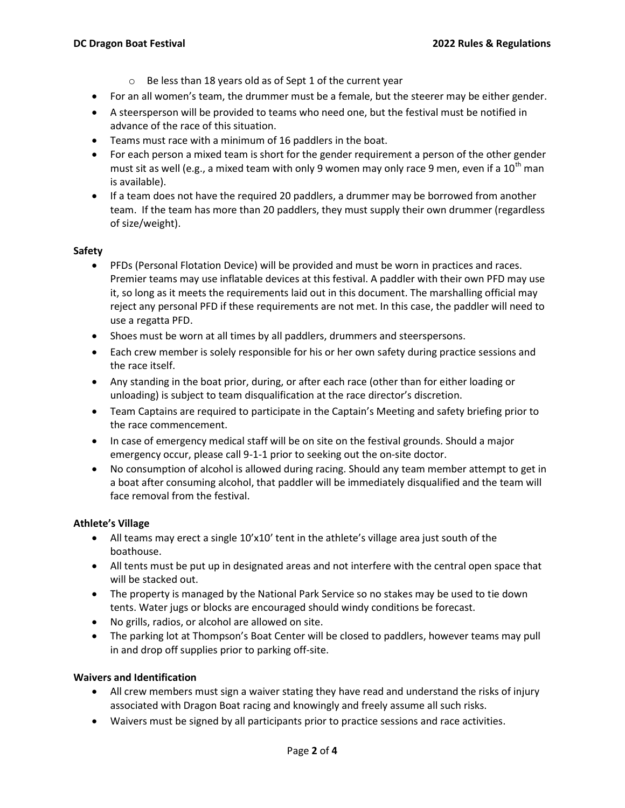- o Be less than 18 years old as of Sept 1 of the current year
- For an all women's team, the drummer must be a female, but the steerer may be either gender.
- A steersperson will be provided to teams who need one, but the festival must be notified in advance of the race of this situation.
- Teams must race with a minimum of 16 paddlers in the boat.
- For each person a mixed team is short for the gender requirement a person of the other gender must sit as well (e.g., a mixed team with only 9 women may only race 9 men, even if a  $10^{th}$  man is available).
- If a team does not have the required 20 paddlers, a drummer may be borrowed from another team. If the team has more than 20 paddlers, they must supply their own drummer (regardless of size/weight).

## Safety

- PFDs (Personal Flotation Device) will be provided and must be worn in practices and races. Premier teams may use inflatable devices at this festival. A paddler with their own PFD may use it, so long as it meets the requirements laid out in this document. The marshalling official may reject any personal PFD if these requirements are not met. In this case, the paddler will need to use a regatta PFD.
- Shoes must be worn at all times by all paddlers, drummers and steerspersons.
- Each crew member is solely responsible for his or her own safety during practice sessions and the race itself.
- Any standing in the boat prior, during, or after each race (other than for either loading or unloading) is subject to team disqualification at the race director's discretion.
- Team Captains are required to participate in the Captain's Meeting and safety briefing prior to the race commencement.
- In case of emergency medical staff will be on site on the festival grounds. Should a major emergency occur, please call 9-1-1 prior to seeking out the on-site doctor.
- No consumption of alcohol is allowed during racing. Should any team member attempt to get in a boat after consuming alcohol, that paddler will be immediately disqualified and the team will face removal from the festival.

## Athlete's Village

- All teams may erect a single 10'x10' tent in the athlete's village area just south of the boathouse.
- All tents must be put up in designated areas and not interfere with the central open space that will be stacked out.
- The property is managed by the National Park Service so no stakes may be used to tie down tents. Water jugs or blocks are encouraged should windy conditions be forecast.
- No grills, radios, or alcohol are allowed on site.
- The parking lot at Thompson's Boat Center will be closed to paddlers, however teams may pull in and drop off supplies prior to parking off-site.

## Waivers and Identification

- All crew members must sign a waiver stating they have read and understand the risks of injury associated with Dragon Boat racing and knowingly and freely assume all such risks.
- Waivers must be signed by all participants prior to practice sessions and race activities.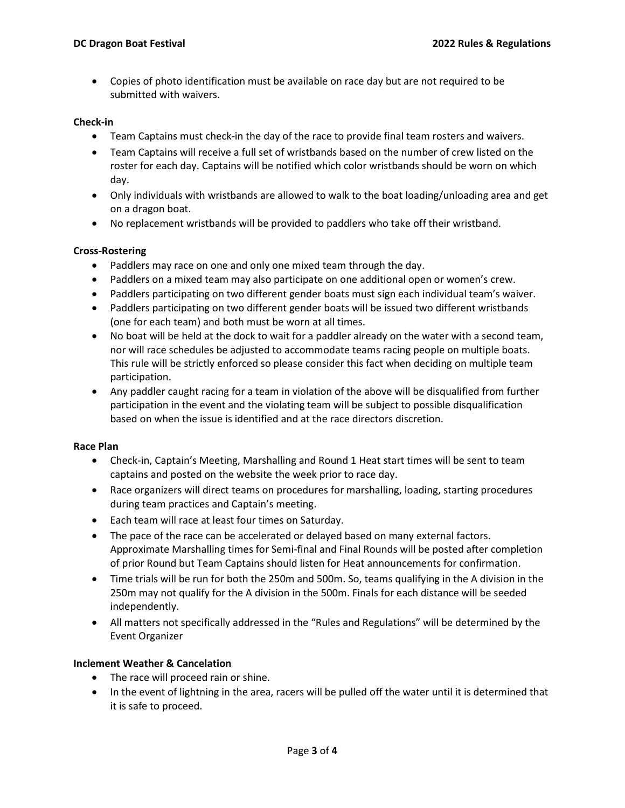Copies of photo identification must be available on race day but are not required to be submitted with waivers.

## Check-in

- Team Captains must check-in the day of the race to provide final team rosters and waivers.
- Team Captains will receive a full set of wristbands based on the number of crew listed on the roster for each day. Captains will be notified which color wristbands should be worn on which day.
- Only individuals with wristbands are allowed to walk to the boat loading/unloading area and get on a dragon boat.
- No replacement wristbands will be provided to paddlers who take off their wristband.

## Cross-Rostering

- Paddlers may race on one and only one mixed team through the day.
- Paddlers on a mixed team may also participate on one additional open or women's crew.
- Paddlers participating on two different gender boats must sign each individual team's waiver.
- Paddlers participating on two different gender boats will be issued two different wristbands (one for each team) and both must be worn at all times.
- No boat will be held at the dock to wait for a paddler already on the water with a second team, nor will race schedules be adjusted to accommodate teams racing people on multiple boats. This rule will be strictly enforced so please consider this fact when deciding on multiple team participation.
- Any paddler caught racing for a team in violation of the above will be disqualified from further participation in the event and the violating team will be subject to possible disqualification based on when the issue is identified and at the race directors discretion.

## Race Plan

- Check-in, Captain's Meeting, Marshalling and Round 1 Heat start times will be sent to team captains and posted on the website the week prior to race day.
- Race organizers will direct teams on procedures for marshalling, loading, starting procedures during team practices and Captain's meeting.
- Each team will race at least four times on Saturday.
- The pace of the race can be accelerated or delayed based on many external factors. Approximate Marshalling times for Semi-final and Final Rounds will be posted after completion of prior Round but Team Captains should listen for Heat announcements for confirmation.
- Time trials will be run for both the 250m and 500m. So, teams qualifying in the A division in the 250m may not qualify for the A division in the 500m. Finals for each distance will be seeded independently.
- All matters not specifically addressed in the "Rules and Regulations" will be determined by the Event Organizer

## Inclement Weather & Cancelation

- The race will proceed rain or shine.
- In the event of lightning in the area, racers will be pulled off the water until it is determined that it is safe to proceed.